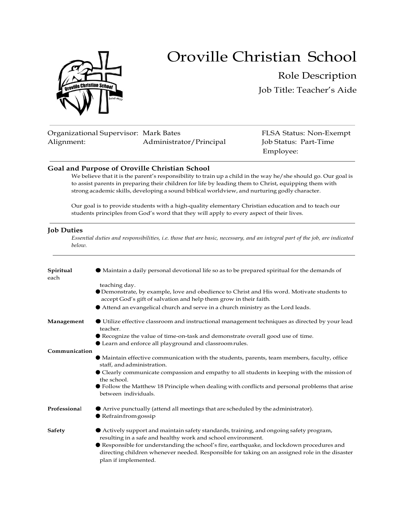



# Role Description Job Title: Teacher's Aide

| Organizational Supervisor: Mark Bates |                         |
|---------------------------------------|-------------------------|
| Alignment:                            | Administrator/Principal |

FLSA Status: Non-Exempt Job Status: Part-Time Employee:

#### **Goal and Purpose of Oroville Christian School**

We believe that it is the parent's responsibility to train up a child in the way he/she should go. Our goal is to assist parents in preparing their children for life by leading them to Christ, equipping them with strong academic skills, developing a sound biblical worldview, and nurturing godly character.

Our goal is to provide students with a high-quality elementary Christian education and to teach our students principles from God's word that they will apply to every aspect of their lives.

#### **Job Duties**

*Essential duties and responsibilities, i.e. those that are basic, necessary, and an integral part of the job, are indicated below.*

| Spiritual<br>each | • Maintain a daily personal devotional life so as to be prepared spiritual for the demands of                                                                                                                      |  |  |  |
|-------------------|--------------------------------------------------------------------------------------------------------------------------------------------------------------------------------------------------------------------|--|--|--|
|                   | teaching day.<br>Demonstrate, by example, love and obedience to Christ and His word. Motivate students to<br>accept God's gift of salvation and help them grow in their faith.                                     |  |  |  |
|                   | Attend an evangelical church and serve in a church ministry as the Lord leads.                                                                                                                                     |  |  |  |
| Management        | • Utilize effective classroom and instructional management techniques as directed by your lead<br>teacher.                                                                                                         |  |  |  |
|                   | • Recognize the value of time-on-task and demonstrate overall good use of time.<br>Learn and enforce all playground and classroomrules.                                                                            |  |  |  |
| Communication     |                                                                                                                                                                                                                    |  |  |  |
|                   | • Maintain effective communication with the students, parents, team members, faculty, office<br>staff, and administration.                                                                                         |  |  |  |
|                   | • Clearly communicate compassion and empathy to all students in keeping with the mission of<br>the school.                                                                                                         |  |  |  |
|                   | • Follow the Matthew 18 Principle when dealing with conflicts and personal problems that arise<br>between individuals.                                                                                             |  |  |  |
| Professional      | • Arrive punctually (attend all meetings that are scheduled by the administrator).<br>Refrainfrom gossip                                                                                                           |  |  |  |
| Safety            | Actively support and maintain safety standards, training, and ongoing safety program,<br>resulting in a safe and healthy work and school environment.                                                              |  |  |  |
|                   | Responsible for understanding the school's fire, earthquake, and lockdown procedures and<br>directing children whenever needed. Responsible for taking on an assigned role in the disaster<br>plan if implemented. |  |  |  |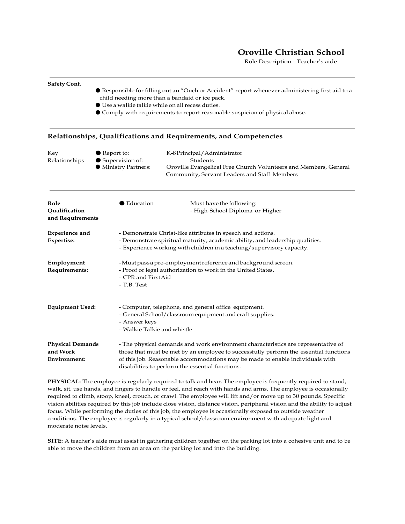### **Oroville Christian School**

Role Description - Teacher's aide

## **Relationships, Qualifications and Requirements, and Competencies** Key ● Report to: K-8 Principal/Administrator Relationships ● Supervision of: Students ● Ministry Partners: Oroville Evangelical Free Church Volunteers and Members, General Community, Servant Leaders and Staff Members **Role** ● Education Must have the following: **Qualification Contains Container Contains Act of the High-School Diploma or Higher and Requirements Experience and** - Demonstrate Christ-like attributes in speech and actions. Expertise: - Demonstrate spiritual maturity, academic ability, and leadership qualities. - Experience working with children in a teaching/supervisory capacity. **Employment** -Mustpassapre-employmentreferenceandbackgroundscreen. **Requirements:** - Proof of legal authorization to work in the United States. - CPR and FirstAid - T.B. Test **Equipment Used:** - Computer, telephone, and general office equipment. - General School/classroom equipment and craft supplies. - Answer keys - Walkie Talkie andwhistle **Physical Demands** - The physical demands and work environment characteristics are representative of **and Work** those that must be met by an employee to successfully perform the essential functions **Environment:** of this job. Reasonable accommodations may be made to enable individuals with disabilities to perform the essential functions.

● Comply with requirements to report reasonable suspicion of physical abuse.

● Responsible for filling out an "Ouch or Accident" report whenever administering first aid to a

child needing more than a bandaid or ice pack. ● Use a walkie talkie while on allrecess duties.

**Safety Cont.**

**PHYSICAL:** The employee is regularly required to talk and hear. The employee is frequently required to stand, walk, sit, use hands, and fingers to handle or feel, and reach with hands and arms. The employee is occasionally required to climb, stoop, kneel, crouch, or crawl. The employee will lift and/or move up to 30 pounds. Specific vision abilities required by this job include close vision, distance vision, peripheral vision and the ability to adjust focus. While performing the duties of this job, the employee is occasionally exposed to outside weather conditions. The employee is regularly in a typical school/classroom environment with adequate light and moderate noise levels.

**SITE:** A teacher's aide must assist in gathering children together on the parking lot into a cohesive unit and to be able to move the children from an area on the parking lot and into the building.